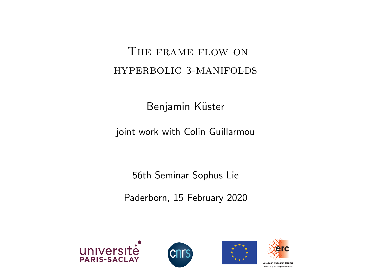### The frame flow on hyperbolic 3-manifolds

Benjamin Küster

joint work with Colin Guillarmou

56th Seminar Sophus Lie

Paderborn, 15 February 2020







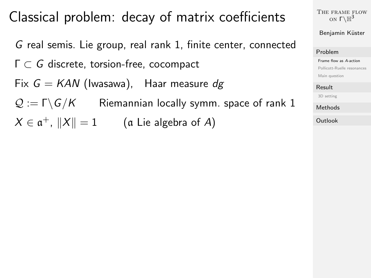## <span id="page-2-0"></span>Classical problem: decay of matrix coefficients

G real semis. Lie group, real rank 1, finite center, connected Γ ⊂ G discrete, torsion-free, cocompact Fix  $G = KAN$  (Iwasawa), Haar measure dg  $\mathcal{Q} := \Gamma \backslash G/K$  Riemannian locally symm. space of rank 1  $X \in \mathfrak{a}^+$ ,  $\|X\| = 1$  (a Lie algebra of A)

[The frame flow](#page-0-0) on  $\Gamma\backslash\mathbb{H}^3$ 

Benjamin Küster

#### [Problem](#page-2-0)

[Frame flow as](#page-2-0) A-action

[Pollicott-Ruelle resonances](#page-10-0)

[Main question](#page-12-0)

### [Result](#page-16-0)

[3D setting](#page-16-0)

[Methods](#page-19-0)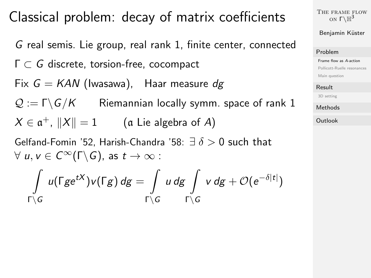### Classical problem: decay of matrix coefficients

G real semis. Lie group, real rank 1, finite center, connected Γ ⊂ G discrete, torsion-free, cocompact Fix  $G = KAN$  (Iwasawa), Haar measure dg  $\mathcal{Q} := \Gamma \backslash G/K$  Riemannian locally symm. space of rank 1  $X \in \mathfrak{a}^+$ ,  $\|X\| = 1$  (a Lie algebra of A) Gelfand-Fomin '52, Harish-Chandra '58:  $\exists \delta > 0$  such that

 $\forall u, v \in C^{\infty}(\Gamma \backslash G)$ , as  $t \to \infty$ :

$$
\int_{\Gamma\setminus G} u(\Gamma g e^{tX})v(\Gamma g)\, dg = \int_{\Gamma\setminus G} u\, dg \int_{\Gamma\setminus G} v\, dg + \mathcal{O}(e^{-\delta|t|})
$$

[The frame flow](#page-0-0) on  $\Gamma\backslash\mathbb{H}^3$ 

Benjamin Küster

#### [Problem](#page-2-0)

[Frame flow as](#page-2-0) A-action

[Pollicott-Ruelle resonances](#page-10-0)

[Main question](#page-12-0)

#### [Result](#page-16-0)

[3D setting](#page-16-0)

[Methods](#page-19-0)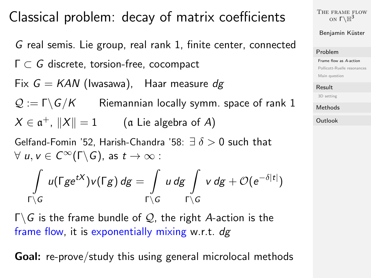## Classical problem: decay of matrix coefficients

G real semis. Lie group, real rank 1, finite center, connected Γ ⊂ G discrete, torsion-free, cocompact Fix  $G = KAN$  (Iwasawa), Haar measure dg  $\mathcal{Q} := \Gamma \backslash G/K$  Riemannian locally symm. space of rank 1  $X \in \mathfrak{a}^+$ ,  $\|X\| = 1$  (a Lie algebra of A) Gelfand-Fomin '52, Harish-Chandra '58:  $\exists \delta > 0$  such that

 $\forall u, v \in C^{\infty}(\Gamma \backslash G)$ , as  $t \to \infty$ :

$$
\int\limits_{\Gamma\setminus G} u(\Gamma ge^{tX})v(\Gamma g)\, dg=\int\limits_{\Gamma\setminus G} u\, dg \int\limits_{\Gamma\setminus G} v\, dg +{\mathcal O}(e^{-\delta|t|})
$$

 $\Gamma \backslash G$  is the frame bundle of Q, the right A-action is the frame flow, it is exponentially mixing w.r.t.  $dg$ 

Goal: re-prove/study this using general microlocal methods

[The frame flow](#page-0-0) on  $\Gamma\backslash\mathbb{H}^3$ 

Benjamin Küster

### [Problem](#page-2-0)

[Frame flow as](#page-2-0) A-action

[Pollicott-Ruelle resonances](#page-10-0)

[Main question](#page-12-0)

### [Result](#page-16-0)

[3D setting](#page-16-0)

[Methods](#page-19-0)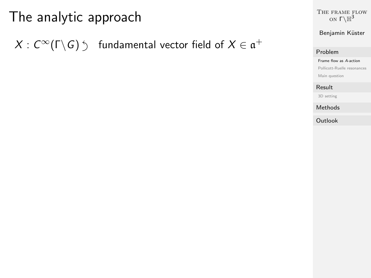# The analytic approach

 $X:\,C^\infty(\Gamma\backslash G)\stackrel{\cdot}{\,}\quad\text{fundamental vector field of}\,\,X\in\mathfrak{a}^+$ 

[The frame flow](#page-0-0) on  $\Gamma\backslash\mathbb{H}^3$ 

Benjamin Küster

### [Problem](#page-2-0)

#### [Frame flow as](#page-2-0) A-action

[Pollicott-Ruelle resonances](#page-10-0)

[Main question](#page-12-0)

#### [Result](#page-16-0)

[3D setting](#page-16-0)

[Methods](#page-19-0)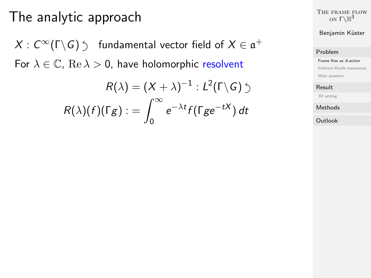## The analytic approach

 $X:\,C^\infty(\Gamma\backslash G)\stackrel{\cdot}{\,}\quad\text{fundamental vector field of}\,\,X\in\mathfrak{a}^+$ For  $\lambda \in \mathbb{C}$ ,  $\text{Re }\lambda > 0$ , have holomorphic resolvent

$$
R(\lambda) = (X + \lambda)^{-1} : L^2(\Gamma \backslash G) \supset
$$

$$
R(\lambda)(f)(\Gamma g) := \int_0^\infty e^{-\lambda t} f(\Gamma g e^{-tX}) dt
$$

[The frame flow](#page-0-0) on  $\Gamma\backslash\mathbb{H}^3$ 

Benjamin Küster

### [Problem](#page-2-0)

[Frame flow as](#page-2-0) A-action

[Pollicott-Ruelle resonances](#page-10-0)

[Main question](#page-12-0)

#### [Result](#page-16-0)

[3D setting](#page-16-0)

[Methods](#page-19-0)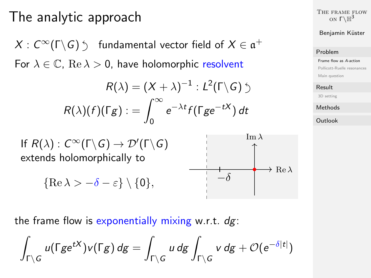## The analytic approach

 $X:\,C^\infty(\Gamma\backslash G)\stackrel{\cdot}{\,}\quad\text{fundamental vector field of}\,\,X\in\mathfrak{a}^+$ For  $\lambda \in \mathbb{C}$ ,  $\text{Re }\lambda > 0$ , have holomorphic resolvent

$$
R(\lambda) = (X + \lambda)^{-1} : L^2(\Gamma \backslash G) \supset
$$

$$
R(\lambda)(f)(\Gamma g) := \int_0^\infty e^{-\lambda t} f(\Gamma g e^{-tX}) dt
$$

If  $R(\lambda) : C^{\infty}(\Gamma \backslash G) \rightarrow \mathcal{D}'(\Gamma \backslash G)$ extends holomorphically to

$$
\{\operatorname{Re}\lambda > -\delta - \varepsilon\} \setminus \{0\},\
$$



[The frame flow](#page-0-0) on  $\Gamma\backslash\mathbb{H}^3$ 

Benjamin Küster

### [Problem](#page-2-0)

[Frame flow as](#page-2-0) A-action

[Pollicott-Ruelle resonances](#page-10-0)

[Main question](#page-12-0)

### [Result](#page-16-0)

[3D setting](#page-16-0)

[Methods](#page-19-0)

**[Outlook](#page-24-0)** 

the frame flow is exponentially mixing w.r.t.  $dg$ :

$$
\int_{\Gamma\setminus G} u(\Gamma g e^{tX})v(\Gamma g)\, dg = \int_{\Gamma\setminus G} u\, dg \int_{\Gamma\setminus G} v\, dg + \mathcal{O}(e^{-\delta|t|})
$$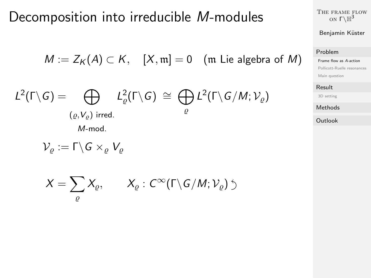### Decomposition into irreducible M-modules

$$
M := Z_K(A) \subset K, \quad [X, m] = 0 \quad (m \text{ Lie algebra of } M)
$$
  

$$
(\Gamma \setminus G) = \bigoplus_{(\varrho, V_{\varrho}) \text{ irred.}} L^2_{\varrho}(\Gamma \setminus G) \cong \bigoplus_{\varrho} L^2(\Gamma \setminus G / M; \mathcal{V}_{\varrho})
$$
  
*M*-mod.

$$
\mathcal{V}_\varrho:=\Gamma\backslash G\times_\varrho V_\varrho
$$

 $L^2$ 

$$
X=\sum_{\varrho}X_{\varrho},\qquad X_{\varrho}:C^{\infty}(\Gamma\backslash G/M;{\mathcal V}_{\varrho})\circlearrowleft
$$

[The frame flow](#page-0-0) on  $\Gamma\backslash\mathbb{H}^3$ 

### Benjamin Küster

### [Problem](#page-2-0)

[Frame flow as](#page-2-0) A-action

[Pollicott-Ruelle resonances](#page-10-0)

[Main question](#page-12-0)

### [Result](#page-16-0)

[3D setting](#page-16-0)

### [Methods](#page-19-0)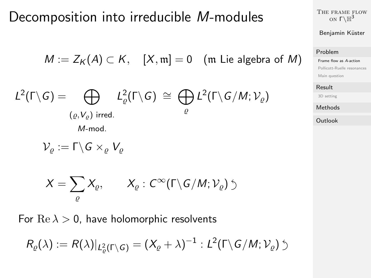### Decomposition into irreducible M-modules

$$
M := Z_K(A) \subset K, \quad [X, m] = 0 \quad (\text{m Lie algebra of } M)
$$
  

$$
L^2(\Gamma \setminus G) = \bigoplus_{(\varrho, V_{\varrho}) \text{ irred.}} L^2_{\varrho}(\Gamma \setminus G) \cong \bigoplus_{\varrho} L^2(\Gamma \setminus G / M; \mathcal{V}_{\varrho})
$$
  

$$
\mathcal{V}_{\varrho} := \Gamma \setminus G \times_{\varrho} V_{\varrho}
$$

$$
X=\sum_{\varrho}X_{\varrho},\qquad X_{\varrho}:C^{\infty}(\Gamma\backslash G/M;{\mathcal V}_{\varrho})\circlearrowleft
$$

For  $\text{Re }\lambda > 0$ , have holomorphic resolvents

$$
R_{\varrho}(\lambda) := R(\lambda)|_{L^2_{\varrho}(\Gamma \setminus G)} = (X_{\varrho} + \lambda)^{-1} : L^2(\Gamma \setminus G/M; \mathcal{V}_{\varrho}) \supset
$$

[The frame flow](#page-0-0) on  $\Gamma\backslash\mathbb{H}^3$ 

### Benjamin Küster

### [Problem](#page-2-0)

[Frame flow as](#page-2-0) A-action

[Pollicott-Ruelle resonances](#page-10-0)

[Main question](#page-12-0)

#### [Result](#page-16-0)

[3D setting](#page-16-0)

### [Methods](#page-19-0)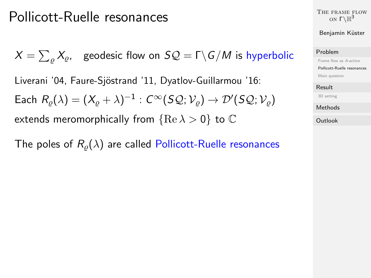## <span id="page-10-0"></span>Pollicott-Ruelle resonances

 $X=\sum_{\varrho}X_{\varrho},\;\;$  geodesic flow on  $\mathcal{SQ}=\mathsf{\Gamma}\backslash\mathsf{G}/M$  is hyperbolic Liverani '04, Faure-Sjöstrand '11, Dyatlov-Guillarmou '16: Each  $R_{\varrho}(\lambda) = (X_{\varrho} + \lambda)^{-1} : C^{\infty} (S \mathcal{Q}; \mathcal{V}_{\varrho}) \to \mathcal{D}' (S \mathcal{Q}; \mathcal{V}_{\varrho})$ extends meromorphically from  ${Re \lambda > 0}$  to  $\mathbb C$ 

The poles of  $R_o(\lambda)$  are called Pollicott-Ruelle resonances

[The frame flow](#page-0-0) on  $\Gamma\backslash\mathbb{H}^3$ 

Benjamin Küster

### [Problem](#page-2-0)

[Frame flow as](#page-2-0) A-action

[Pollicott-Ruelle resonances](#page-10-0)

[Main question](#page-12-0)

#### [Result](#page-16-0)

[3D setting](#page-16-0)

[Methods](#page-19-0)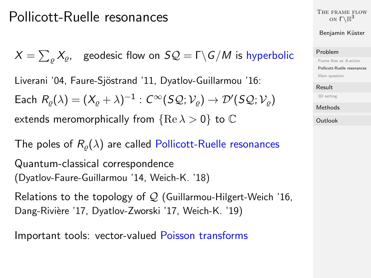## Pollicott-Ruelle resonances

 $X=\sum_{\varrho}X_{\varrho},\;\;$  geodesic flow on  $\mathcal{SQ}=\mathsf{\Gamma}\backslash\mathsf{G}/M$  is hyperbolic Liverani '04, Faure-Sjöstrand '11, Dyatlov-Guillarmou '16: Each  $R_{\varrho}(\lambda) = (X_{\varrho} + \lambda)^{-1} : C^{\infty} (S \mathcal{Q}; \mathcal{V}_{\varrho}) \to \mathcal{D}' (S \mathcal{Q}; \mathcal{V}_{\varrho})$ extends meromorphically from  ${Re \lambda > 0}$  to  $\mathbb C$ 

The poles of  $R_o(\lambda)$  are called Pollicott-Ruelle resonances

Quantum-classical correspondence (Dyatlov-Faure-Guillarmou '14, Weich-K. '18)

Relations to the topology of  $Q$  (Guillarmou-Hilgert-Weich '16, Dang-Rivière '17, Dyatlov-Zworski '17, Weich-K. '19)

Important tools: vector-valued Poisson transforms

[The frame flow](#page-0-0) on  $\Gamma\backslash\mathbb{H}^3$ 

Benjamin Küster

### [Problem](#page-2-0)

[Frame flow as](#page-2-0) A-action

[Pollicott-Ruelle resonances](#page-10-0)

[Main question](#page-12-0)

### [Result](#page-16-0)

[3D setting](#page-16-0)

[Methods](#page-19-0)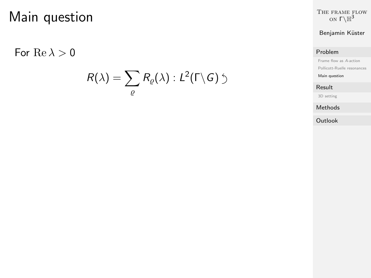<span id="page-12-0"></span>For  $\text{Re }\lambda > 0$ 

$$
R(\lambda)=\sum_{\varrho}R_{\varrho}(\lambda):L^2(\Gamma\backslash G)\circ
$$

[The frame flow](#page-0-0) on  $\Gamma\backslash\mathbb{H}^3$ 

Benjamin Küster

### [Problem](#page-2-0)

[Frame flow as](#page-2-0) A-action

[Pollicott-Ruelle resonances](#page-10-0)

[Main question](#page-12-0)

### [Result](#page-16-0)

[3D setting](#page-16-0)

[Methods](#page-19-0)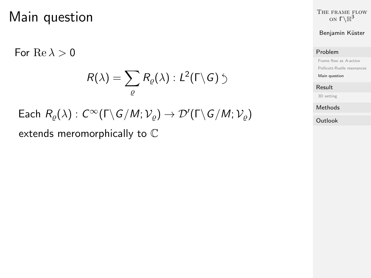For  $Re \lambda > 0$ 

$$
R(\lambda)=\sum_{\varrho}R_{\varrho}(\lambda):L^2(\Gamma\backslash G)\circlearrowleft
$$

[The frame flow](#page-0-0) on  $\Gamma\backslash\mathbb{H}^3$ 

### Benjamin Küster

### [Problem](#page-2-0)

[Frame flow as](#page-2-0) A-action

[Pollicott-Ruelle resonances](#page-10-0)

[Main question](#page-12-0)

#### [Result](#page-16-0)

[3D setting](#page-16-0)

[Methods](#page-19-0)

**[Outlook](#page-24-0)** 

 $\mathsf{Each}\,\, R_\varrho(\lambda) : C^\infty(\Gamma\backslash\mathsf{G}/\mathsf{M};\mathcal{V}_\varrho)\rightarrow \mathcal{D}'(\Gamma\backslash\mathsf{G}/\mathsf{M};\mathcal{V}_\varrho)$ extends meromorphically to C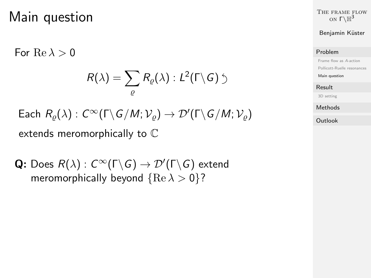For  $Re \lambda > 0$ 

$$
R(\lambda)=\sum_{\varrho}R_{\varrho}(\lambda):L^2(\Gamma\backslash G)\circlearrowleft
$$

[The frame flow](#page-0-0) on  $\Gamma\backslash\mathbb{H}^3$ 

### Benjamin Küster

### [Problem](#page-2-0)

[Frame flow as](#page-2-0) A-action

[Pollicott-Ruelle resonances](#page-10-0)

[Main question](#page-12-0)

### [Result](#page-16-0)

[3D setting](#page-16-0)

[Methods](#page-19-0)

**[Outlook](#page-24-0)** 

Each 
$$
R_{\varrho}(\lambda)
$$
:  $C^{\infty}(\Gamma \backslash G/M; \mathcal{V}_{\varrho}) \to \mathcal{D}'(\Gamma \backslash G/M; \mathcal{V}_{\varrho})$   
extends meromorphically to  $\mathbb{C}$ 

**Q:** Does  $R(\lambda)$  :  $C^{\infty}(\Gamma \backslash G) \rightarrow \mathcal{D}'(\Gamma \backslash G)$  extend meromorphically beyond  ${Re \lambda > 0}$ ?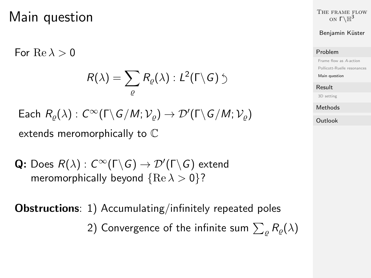For  $Re \lambda > 0$ 

$$
R(\lambda)=\sum_{\varrho}R_{\varrho}(\lambda):L^2(\Gamma\backslash G)\circlearrowleft
$$

[The frame flow](#page-0-0) on  $\Gamma\backslash\mathbb{H}^3$ 

Benjamin Küster

### [Problem](#page-2-0)

[Frame flow as](#page-2-0) A-action

[Pollicott-Ruelle resonances](#page-10-0)

[Main question](#page-12-0)

### [Result](#page-16-0)

[3D setting](#page-16-0)

[Methods](#page-19-0)

**[Outlook](#page-24-0)** 

 $\mathsf{Each}\,\, R_\varrho(\lambda) : C^\infty(\Gamma\backslash\mathsf{G}/\mathsf{M};\mathcal{V}_\varrho)\rightarrow \mathcal{D}'(\Gamma\backslash\mathsf{G}/\mathsf{M};\mathcal{V}_\varrho)$ extends meromorphically to C

**Q:** Does  $R(\lambda)$  :  $C^{\infty}(\Gamma \backslash G) \rightarrow \mathcal{D}'(\Gamma \backslash G)$  extend meromorphically beyond  ${Re \lambda > 0}$ ?

Obstructions: 1) Accumulating/infinitely repeated poles 2) Convergence of the infinite sum  $\sum_\varrho R_\varrho(\lambda)$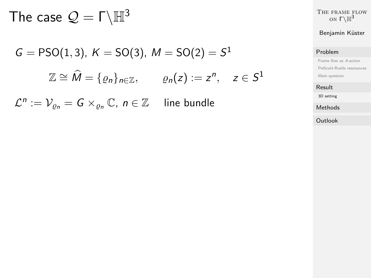<span id="page-16-0"></span>The case  $\mathcal{Q} = \Gamma \backslash \mathbb{H}^3$ 

$$
G = \text{PSO}(1,3), K = \text{SO}(3), M = \text{SO}(2) = S^1
$$

$$
\mathbb{Z} \cong \widehat{M} = \{ \varrho_n \}_{n \in \mathbb{Z}}, \qquad \varrho_n(z) := z^n, \quad z \in S^1
$$

 $\mathcal{L}^n := \mathcal{V}_{\varrho_n} = G \times_{\varrho_n} \mathbb{C}, n \in \mathbb{Z}$  line bundle

[The frame flow](#page-0-0) on  $\Gamma\backslash\mathbb{H}^3$ 

### Benjamin Küster

### [Problem](#page-2-0)

[Frame flow as](#page-2-0) A-action [Pollicott-Ruelle resonances](#page-10-0) [Main question](#page-12-0)

### [Result](#page-16-0)

[3D setting](#page-16-0)

[Methods](#page-19-0)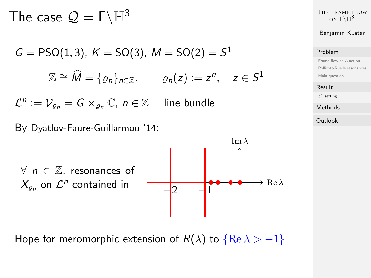The case  $\mathcal{Q} = \Gamma \backslash \mathbb{H}^3$ 

$$
G = \text{PSO}(1,3), K = \text{SO}(3), M = \text{SO}(2) = S^1
$$
  

$$
\mathbb{Z} \cong \widehat{M} = \{ \varrho_n \}_{n \in \mathbb{Z}}, \qquad \varrho_n(z) := z^n, \quad z \in S^1
$$

 $\mathcal{L}^n := \mathcal{V}_{\varrho_n} = G \times_{\varrho_n} \mathbb{C}, n \in \mathbb{Z}$  line bundle

By Dyatlov-Faure-Guillarmou '14:



Hope for meromorphic extension of  $R(\lambda)$  to  $\{Re \lambda > -1\}$ 

[The frame flow](#page-0-0) on  $\Gamma\backslash\mathbb{H}^3$ 

### Benjamin Küster

### [Problem](#page-2-0)

[Frame flow as](#page-2-0) A-action [Pollicott-Ruelle resonances](#page-10-0) [Main question](#page-12-0)

#### [Result](#page-16-0)

[3D setting](#page-16-0)

[Methods](#page-19-0)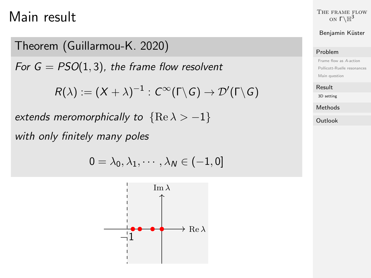## Main result

Theorem (Guillarmou-K. 2020)

For  $G = PSO(1, 3)$ , the frame flow resolvent

 $R(\lambda) := (X + \lambda)^{-1} : C^\infty(\mathsf{\Gamma} \backslash G) \rightarrow \mathcal{D}'(\mathsf{\Gamma} \backslash G)$ 

extends meromorphically to  ${Re \lambda > -1}$ 

with only finitely many poles

 $0 = \lambda_0, \lambda_1, \cdots, \lambda_N \in (-1, 0]$ 



[The frame flow](#page-0-0) on  $\Gamma\backslash\mathbb{H}^3$ 

### Benjamin Küster

### [Problem](#page-2-0)

[Frame flow as](#page-2-0) A-action [Pollicott-Ruelle resonances](#page-10-0) [Main question](#page-12-0)

[Result](#page-16-0)

[3D setting](#page-16-0)

[Methods](#page-19-0)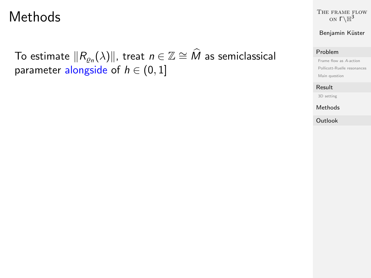### <span id="page-19-0"></span>Methods

To estimate  $\|R_{\varrho_n}(\lambda)\|$ , treat  $n\in\mathbb{Z}\cong\widehat{M}$  as semiclassical parameter alongside of  $h \in (0, 1]$ 

[The frame flow](#page-0-0) on  $\Gamma\backslash\mathbb{H}^3$ 

### Benjamin Küster

### [Problem](#page-2-0)

[Frame flow as](#page-2-0) A-action [Pollicott-Ruelle resonances](#page-10-0) [Main question](#page-12-0)

### [Result](#page-16-0)

[3D setting](#page-16-0)

[Methods](#page-19-0)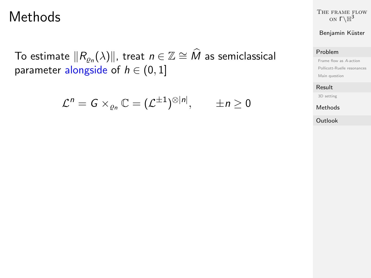### Methods

To estimate  $\|R_{\varrho_n}(\lambda)\|$ , treat  $n\in\mathbb{Z}\cong\widehat{M}$  as semiclassical parameter alongside of  $h \in (0, 1]$ 

$$
\mathcal{L}^n=G\times_{\varrho_n}\mathbb{C}=(\mathcal{L}^{\pm 1})^{\otimes |n|}, \qquad \pm n\geq 0
$$

[The frame flow](#page-0-0) on  $\Gamma\backslash\mathbb{H}^3$ 

### Benjamin Küster

### [Problem](#page-2-0)

[Frame flow as](#page-2-0) A-action [Pollicott-Ruelle resonances](#page-10-0) [Main question](#page-12-0)

### [Result](#page-16-0)

[3D setting](#page-16-0)

[Methods](#page-19-0)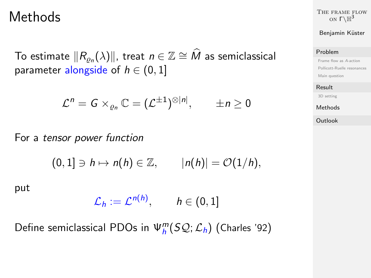### Methods

To estimate  $\|R_{\varrho_n}(\lambda)\|$ , treat  $n\in\mathbb{Z}\cong\widehat{M}$  as semiclassical parameter alongside of  $h \in (0, 1]$ 

$$
\mathcal{L}^n=G\times_{\varrho_n}\mathbb{C}=(\mathcal{L}^{\pm 1})^{\otimes |n|}, \qquad \pm n\geq 0
$$

For a tensor power function

 $(0, 1] \ni h \mapsto n(h) \in \mathbb{Z}, \qquad |n(h)| = \mathcal{O}(1/h),$ 

put

$$
\mathcal{L}_h := \mathcal{L}^{n(h)}, \qquad h \in (0,1]
$$

Define semiclassical PDOs in  $\Psi_h^m(S\mathcal{Q};\mathcal{L}_h)$  (Charles '92)

[The frame flow](#page-0-0) on  $\Gamma\backslash\mathbb{H}^3$ 

### Benjamin Küster

#### [Problem](#page-2-0)

[Frame flow as](#page-2-0) A-action [Pollicott-Ruelle resonances](#page-10-0) [Main question](#page-12-0)

#### [Result](#page-16-0)

[3D setting](#page-16-0)

[Methods](#page-19-0)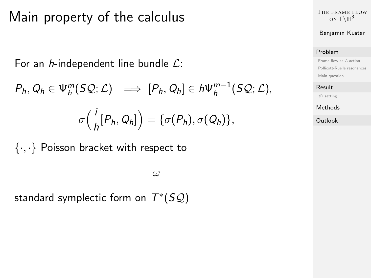### Main property of the calculus

For an *h*-independent line bundle  $\mathcal{L}$ :

$$
P_h, Q_h \in \Psi_h^m(SQ; \mathcal{L}) \implies [P_h, Q_h] \in h\Psi_h^{m-1}(SQ; \mathcal{L}),
$$

$$
\sigma\Big(\frac{i}{h}[P_h, Q_h]\Big) = \{\sigma(P_h), \sigma(Q_h)\},
$$

 $\{\cdot,\cdot\}$  Poisson bracket with respect to

ω

standard symplectic form on  $T^*(SQ)$ 

[The frame flow](#page-0-0) on  $\Gamma\backslash\mathbb{H}^3$ 

Benjamin Küster

### [Problem](#page-2-0)

[Frame flow as](#page-2-0) A-action [Pollicott-Ruelle resonances](#page-10-0) [Main question](#page-12-0)

### [Result](#page-16-0)

[3D setting](#page-16-0)

[Methods](#page-19-0)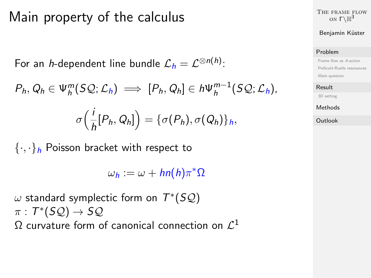### Main property of the calculus

For an *h*-dependent line bundle  $\mathcal{L}_h = \mathcal{L}^{\otimes n(h)}$ :

$$
P_h, Q_h \in \Psi_h^m(S\mathcal{Q}; \mathcal{L}_h) \implies [P_h, Q_h] \in h \Psi_h^{m-1}(S\mathcal{Q}; \mathcal{L}_h),
$$

$$
\sigma\Big(\frac{i}{h}[P_h,Q_h]\Big)=\{\sigma(P_h),\sigma(Q_h)\}_h,
$$

 $\{\cdot,\cdot\}_h$  Poisson bracket with respect to

 $\omega_h := \omega + h n(h) \pi^* \Omega$ 

 $\omega$  standard symplectic form on  $\bar{T}^{*}(S\mathcal{Q})$  $\pi : T^*(SQ) \to SQ$  $\Omega$  curvature form of canonical connection on  $\mathcal{L}^1$  [The frame flow](#page-0-0) on  $\Gamma\backslash\mathbb{H}^3$ 

Benjamin Küster

### [Problem](#page-2-0)

[Frame flow as](#page-2-0) A-action [Pollicott-Ruelle resonances](#page-10-0) [Main question](#page-12-0)

#### [Result](#page-16-0)

[3D setting](#page-16-0)

[Methods](#page-19-0)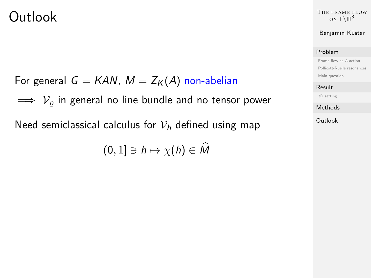### <span id="page-24-0"></span>Outlook

[The frame flow](#page-0-0) on  $\Gamma\backslash\mathbb{H}^3$ 

### Benjamin Küster

### [Problem](#page-2-0)

[Frame flow as](#page-2-0) A-action [Pollicott-Ruelle resonances](#page-10-0) [Main question](#page-12-0)

#### [Result](#page-16-0)

[3D setting](#page-16-0)

[Methods](#page-19-0)

[Outlook](#page-24-0)

For general  $G = KAN$ ,  $M = Z_K(A)$  non-abelian

 $\implies$   $V<sub>o</sub>$  in general no line bundle and no tensor power

Need semiclassical calculus for  $V_h$  defined using map

 $(0, 1] \ni h \mapsto \chi(h) \in \widehat{M}$